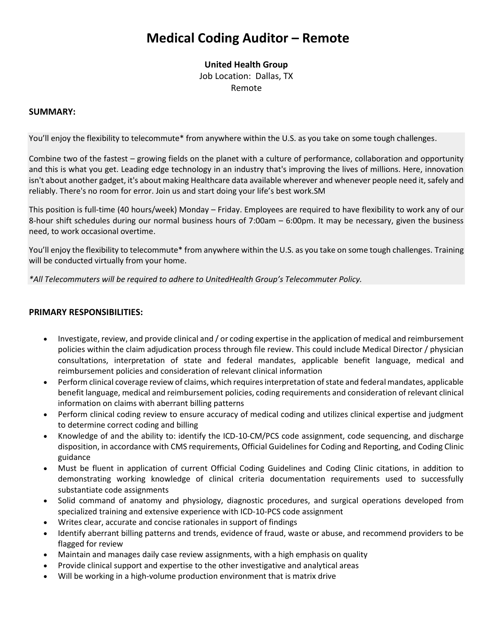# **Medical Coding Auditor – Remote**

#### **United Health Group**

Job Location: Dallas, TX

Remote

#### **SUMMARY:**

You'll enjoy the flexibility to telecommute\* from anywhere within the U.S. as you take on some tough challenges.

Combine two of the fastest – growing fields on the planet with a culture of performance, collaboration and opportunity and this is what you get. Leading edge technology in an industry that's improving the lives of millions. Here, innovation isn't about another gadget, it's about making Healthcare data available wherever and whenever people need it, safely and reliably. There's no room for error. Join us and start doing your life's best work.SM

This position is full-time (40 hours/week) Monday – Friday. Employees are required to have flexibility to work any of our 8-hour shift schedules during our normal business hours of 7:00am – 6:00pm. It may be necessary, given the business need, to work occasional overtime.

You'll enjoy the flexibility to telecommute\* from anywhere within the U.S. as you take on some tough challenges. Training will be conducted virtually from your home.

*\*All Telecommuters will be required to adhere to UnitedHealth Group's Telecommuter Policy.*

#### **PRIMARY RESPONSIBILITIES:**

- Investigate, review, and provide clinical and / or coding expertise in the application of medical and reimbursement policies within the claim adjudication process through file review. This could include Medical Director / physician consultations, interpretation of state and federal mandates, applicable benefit language, medical and reimbursement policies and consideration of relevant clinical information
- Perform clinical coverage review of claims, which requires interpretation of state and federal mandates, applicable benefit language, medical and reimbursement policies, coding requirements and consideration of relevant clinical information on claims with aberrant billing patterns
- Perform clinical coding review to ensure accuracy of medical coding and utilizes clinical expertise and judgment to determine correct coding and billing
- Knowledge of and the ability to: identify the ICD-10-CM/PCS code assignment, code sequencing, and discharge disposition, in accordance with CMS requirements, Official Guidelines for Coding and Reporting, and Coding Clinic guidance
- Must be fluent in application of current Official Coding Guidelines and Coding Clinic citations, in addition to demonstrating working knowledge of clinical criteria documentation requirements used to successfully substantiate code assignments
- Solid command of anatomy and physiology, diagnostic procedures, and surgical operations developed from specialized training and extensive experience with ICD-10-PCS code assignment
- Writes clear, accurate and concise rationales in support of findings
- Identify aberrant billing patterns and trends, evidence of fraud, waste or abuse, and recommend providers to be flagged for review
- Maintain and manages daily case review assignments, with a high emphasis on quality
- Provide clinical support and expertise to the other investigative and analytical areas
- Will be working in a high-volume production environment that is matrix drive